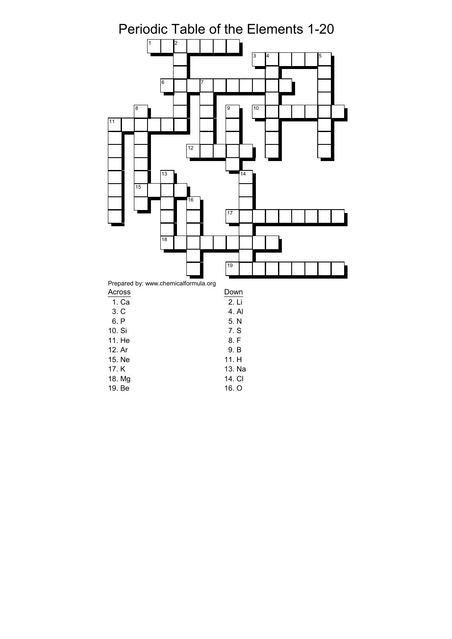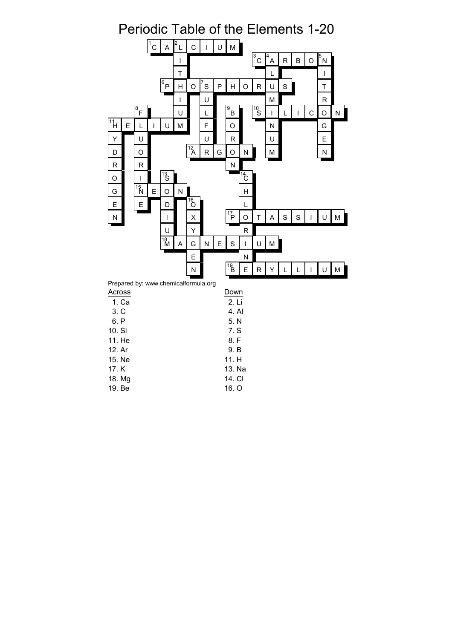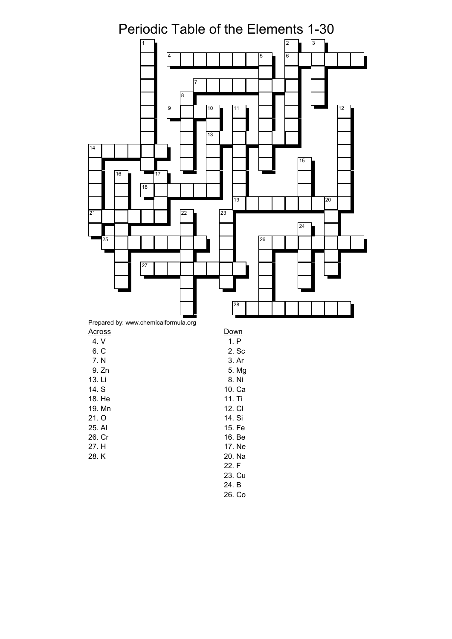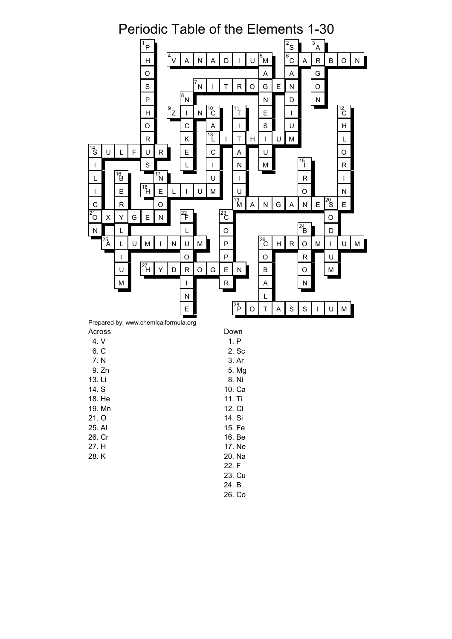

26. Co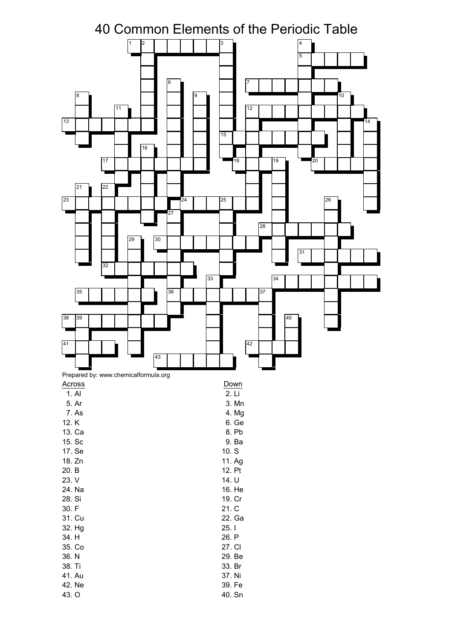